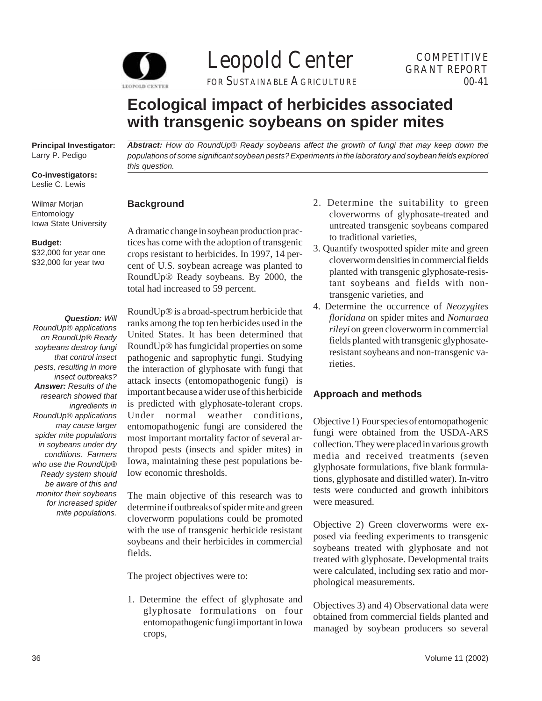

Leopold Center GRANT REPORT

FOR SUSTAINABLE AGRICULTURE

# **Ecological impact of herbicides associated with transgenic soybeans on spider mites**

**Principal Investigator:**  Larry P. Pedigo

**Co-investigators:**  Leslie C. Lewis

Wilmar Morjan Entomology Iowa State University

#### **Budget:**

\$32,000 for year one \$32,000 for year two

#### *Question: Will*

*RoundUp® applications on RoundUp® Ready soybeans destroy fungi that control insect pests, resulting in more insect outbreaks? Answer: Results of the research showed that ingredients in RoundUp® applications may cause larger spider mite populations in soybeans under dry conditions. Farmers who use the RoundUp® Ready system should be aware of this and monitor their soybeans for increased spider mite populations.* 

*Abstract: How do RoundUp® Ready soybeans affect the growth of fungi that may keep down the populations of some significant soybean pests? Experiments in the laboratory and soybean fields explored this question.* 

## **Background**

A dramatic change in soybean production practices has come with the adoption of transgenic crops resistant to herbicides. In 1997, 14 percent of U.S. soybean acreage was planted to RoundUp® Ready soybeans. By 2000, the total had increased to 59 percent.

RoundUp® is a broad-spectrum herbicide that ranks among the top ten herbicides used in the United States. It has been determined that RoundUp® has fungicidal properties on some pathogenic and saprophytic fungi. Studying the interaction of glyphosate with fungi that attack insects (entomopathogenic fungi) is important because a wider use of this herbicide is predicted with glyphosate-tolerant crops. Under normal weather conditions, entomopathogenic fungi are considered the most important mortality factor of several arthropod pests (insects and spider mites) in Iowa, maintaining these pest populations below economic thresholds.

The main objective of this research was to determine if outbreaks of spider mite and green cloverworm populations could be promoted with the use of transgenic herbicide resistant soybeans and their herbicides in commercial fields.

The project objectives were to:

1. Determine the effect of glyphosate and glyphosate formulations on four entomopathogenic fungi important in Iowa crops,

- 2. Determine the suitability to green cloverworms of glyphosate-treated and untreated transgenic soybeans compared to traditional varieties,
- 3. Quantify twospotted spider mite and green cloverworm densities in commercial fields planted with transgenic glyphosate-resistant soybeans and fields with nontransgenic varieties, and
- 4. Determine the occurrence of *Neozygites floridana* on spider mites and *Nomuraea rileyi* on green cloverworm in commercial fields planted with transgenic glyphosateresistant soybeans and non-transgenic varieties.

# **Approach and methods**

Objective 1) Four species of entomopathogenic fungi were obtained from the USDA-ARS collection. They were placed in various growth media and received treatments (seven glyphosate formulations, five blank formulations, glyphosate and distilled water). In-vitro tests were conducted and growth inhibitors were measured.

Objective 2) Green cloverworms were exposed via feeding experiments to transgenic soybeans treated with glyphosate and not treated with glyphosate. Developmental traits were calculated, including sex ratio and morphological measurements.

Objectives 3) and 4) Observational data were obtained from commercial fields planted and managed by soybean producers so several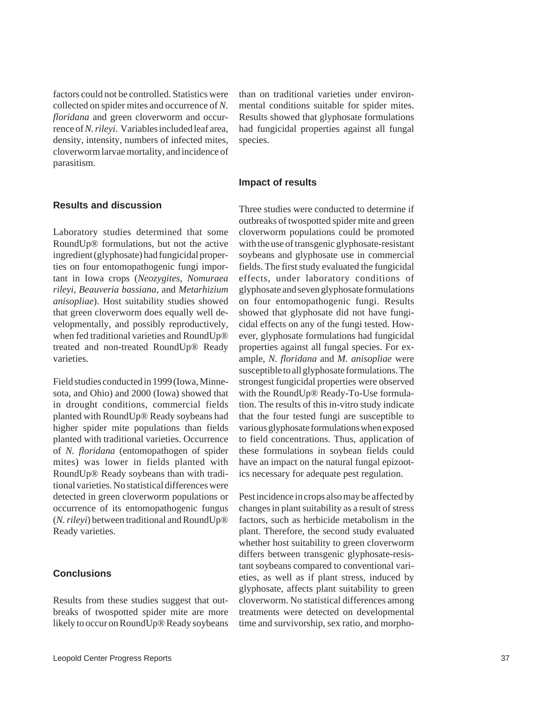factors could not be controlled. Statistics were collected on spider mites and occurrence of *N. floridana* and green cloverworm and occurrence of *N. rileyi*. Variables included leaf area, density, intensity, numbers of infected mites, cloverworm larvae mortality, and incidence of parasitism.

### **Results and discussion**

Laboratory studies determined that some RoundUp® formulations, but not the active ingredient (glyphosate) had fungicidal properties on four entomopathogenic fungi important in Iowa crops (*Neozygites*, *Nomuraea rileyi*, *Beauveria bassiana*, and *Metarhizium anisopliae*). Host suitability studies showed that green cloverworm does equally well developmentally, and possibly reproductively, when fed traditional varieties and RoundUp® treated and non-treated RoundUp® Ready varieties.

Field studies conducted in 1999 (Iowa, Minnesota, and Ohio) and 2000 (Iowa) showed that in drought conditions, commercial fields planted with RoundUp® Ready soybeans had higher spider mite populations than fields planted with traditional varieties. Occurrence of *N. floridana* (entomopathogen of spider mites) was lower in fields planted with RoundUp® Ready soybeans than with traditional varieties. No statistical differences were detected in green cloverworm populations or occurrence of its entomopathogenic fungus (*N. rileyi*) between traditional and RoundUp® Ready varieties.

#### **Conclusions**

Results from these studies suggest that outbreaks of twospotted spider mite are more likely to occur on RoundUp® Ready soybeans than on traditional varieties under environmental conditions suitable for spider mites. Results showed that glyphosate formulations had fungicidal properties against all fungal species.

#### **Impact of results**

Three studies were conducted to determine if outbreaks of twospotted spider mite and green cloverworm populations could be promoted with the use of transgenic glyphosate-resistant soybeans and glyphosate use in commercial fields. The first study evaluated the fungicidal effects, under laboratory conditions of glyphosate and seven glyphosate formulations on four entomopathogenic fungi. Results showed that glyphosate did not have fungicidal effects on any of the fungi tested. However, glyphosate formulations had fungicidal properties against all fungal species. For example, *N. floridana* and *M. anisopliae* were susceptible to all glyphosate formulations. The strongest fungicidal properties were observed with the RoundUp® Ready-To-Use formulation. The results of this in-vitro study indicate that the four tested fungi are susceptible to various glyphosate formulations when exposed to field concentrations. Thus, application of these formulations in soybean fields could have an impact on the natural fungal epizootics necessary for adequate pest regulation.

Pest incidence in crops also may be affected by changes in plant suitability as a result of stress factors, such as herbicide metabolism in the plant. Therefore, the second study evaluated whether host suitability to green cloverworm differs between transgenic glyphosate-resistant soybeans compared to conventional varieties, as well as if plant stress, induced by glyphosate, affects plant suitability to green cloverworm. No statistical differences among treatments were detected on developmental time and survivorship, sex ratio, and morpho